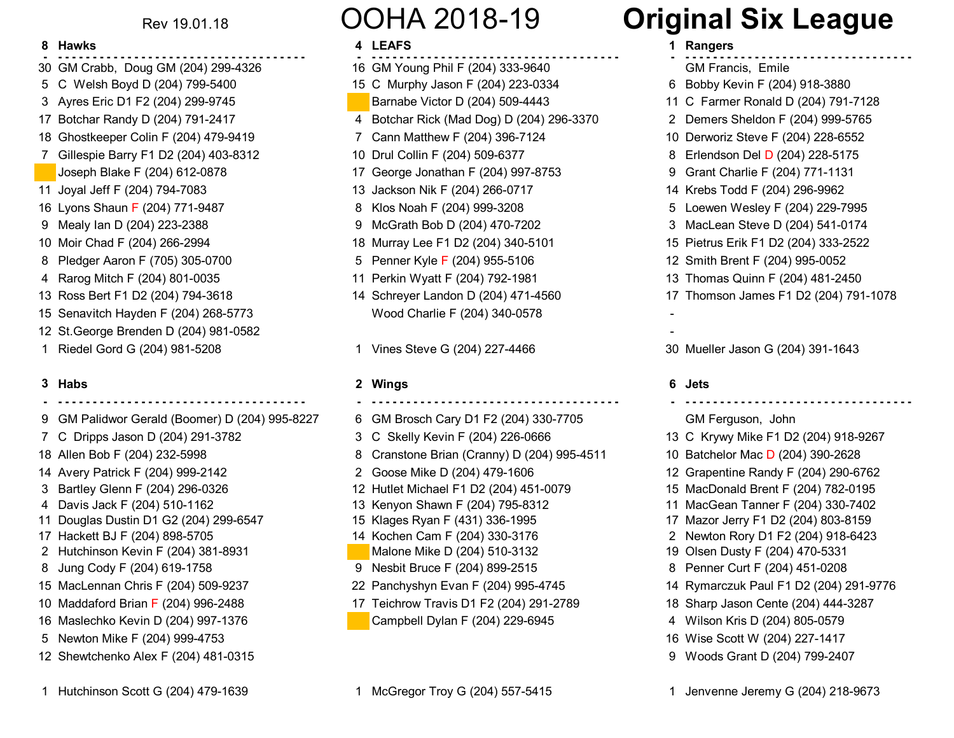Rev 19.01.18

- **------------------------------------ - ------------------------------------ - ---------------------------------**30 GM Crabb, Doug GM (204) 299-4326 16 GM Young Phil F (204) 333-9640 GM Francis, Emile
- 5 C Welsh Boyd D (204) 799-5400 15 C Murphy Jason F (204) 223-0334 6 Bobby Kevin F (204) 918-3880
- 
- 
- 18 Ghostkeeper Colin F (204) 479-9419 7 Cann Matthew F (204) 396-7124 10 Derworiz Steve F (204) 228-6552
- 7 Gillespie Barry F1 D2 (204) 403-8312 10 Drul Collin F (204) 509-6377
- 
- 
- 16 Lyons Shaun F (204) 771-9487
- 
- 
- 8 Pledger Aaron F (705) 305-0700 5 Penner Kyle F (204) 955-5106
- 
- 
- 15 Senavitch Hayden F (204) 268-5773 Wood Charlie F (204) 340-0578 -
- 12 St.George Brenden D (204) 981-0582 -
- 

## **3**

- 
- 
- 
- 
- 
- 
- 11 Douglas Dustin D1 G2 (204) 299-6547 15 Klages Ryan F (431) 336-1995 17 Mazor Jerry F1 D2 (204) 803-8159
- 
- 2 Hutchinson Kevin F (204) 381-8931 Malone Mike D (204) 510-3132 19 Olsen Dusty F (204) 470-5331
- 
- 
- 10 Maddaford Brian
- 16 Maslechko Kevin D (204) 997-1376 Campbell Dylan F (204) 229-6945 4 Wilson Kris D (204) 805-0579
- 5 Newton Mike F (204) 999-4753 16 Wise Scott W (204) 227-1417
- 12 Shewtchenko Alex F (204) 481-0315 9 Woods Grant D (204) 799-2407

# OOHA 2018-19

### **8 4 1 Rangers Hawks LEAFS**

- 
- 
- 
- 
- 
- 
- Joseph Blake F (204) 612-0878 17 George Jonathan F (204) 997-8753 9 Grant Charlie F (204) 771-1131
	-
	-
	-
- 10 Moir Chad F (204) 266-2994 18 Murray Lee F1 D2 (204) 340-5101 15 Pietrus Erik F1 D2 (204) 333-2522
	-
	-
	-

### **2 6 JetsHabs Wings**

 **- - - - - - - - - - - - - - - - - - - - - - - - - - - - - - - - - - - - - - - - - - - - - - - - - - - - - - - - - - - - - - - - - - - - - - - - - - - - - - - - - - - - - - - - - - - - - - - - - - - - - - - - - - -**

- 9 GM Palidwor Gerald (Boomer) D (204) 995-8227 6 GM Brosch Cary D1 F2 (204) 330-7705 GM Ferguson, John
	-
- 18 Allen Bob F (204) 232-5998 8 Cranstone Brian (Cranny) D (204) 995-4511
	-
- 3 Bartley Glenn F (204) 296-0326 12 Hutlet Michael F1 D2 (204) 451-0079 15 MacDonald Brent F (204) 782-0195
	-
	-
	-
	-
	-
	-
	- 17 Teichrow Travis D1 F2 (204) 291-2789 18 Sharp Jason Cente (204) 444-3287
	-

# **Original Six League**

- 
- 
- 3 Ayres Eric D1 F2 (204) 299-9745 Barnabe Victor D (204) 509-4443 11 C Farmer Ronald D (204) 791-7128
- 17 Botchar Randy D (204) 791-2417 4 Botchar Rick (Mad Dog) D (204) 296-3370 2 Demers Sheldon F (204) 999-5765
	-
	- 8 Erlendson Del D (204) 228-5175
	-
- 11 Joyal Jeff F (204) 794-7083 13 Jackson Nik F (204) 266-0717 14 Krebs Todd F (204) 296-9962
	- 8 Klos Noah F (204) 999-3208 5 Loewen Wesley F (204) 229-7995
- 9 Mealy Ian D (204) 223-2388 9 McGrath Bob D (204) 470-7202 3 MacLean Steve D (204) 541-0174
	-
	- 12 Smith Brent F (204) 995-0052
- 4 Rarog Mitch F (204) 801-0035 11 Perkin Wyatt F (204) 792-1981 13 Thomas Quinn F (204) 481-2450
- 13 Ross Bert F1 D2 (204) 794-3618 14 Schreyer Landon D (204) 471-4560 17 Thomson James F1 D2 (204) 791-1078
	-

1 Riedel Gord G (204) 981-5208 1 Vines Steve G (204) 227-4466 30 Mueller Jason G (204) 391-1643

7 C Dripps Jason D (204) 291-3782 3 C Skelly Kevin F (204) 226-0666 13 C Krywy Mike F1 D2 (204) 918-9267 10 Batchelor Mac D (204) 390-2628 14 Avery Patrick F (204) 999-2142 2 Goose Mike D (204) 479-1606 12 Grapentine Randy F (204) 290-6762 4 Davis Jack F (204) 510-1162 13 Kenyon Shawn F (204) 795-8312 11 MacGean Tanner F (204) 330-7402 17 Hackett BJ F (204) 898-5705 14 Kochen Cam F (204) 330-3176 2 Newton Rory D1 F2 (204) 918-6423 8 Jung Cody F (204) 619-1758 **9 Nesbit Bruce F (204) 899-2515** 8 Penner Curt F (204) 451-0208 15 MacLennan Chris F (204) 509-9237 22 Panchyshyn Evan F (204) 995-4745 14 Rymarczuk Paul F1 D2 (204) 291-9776